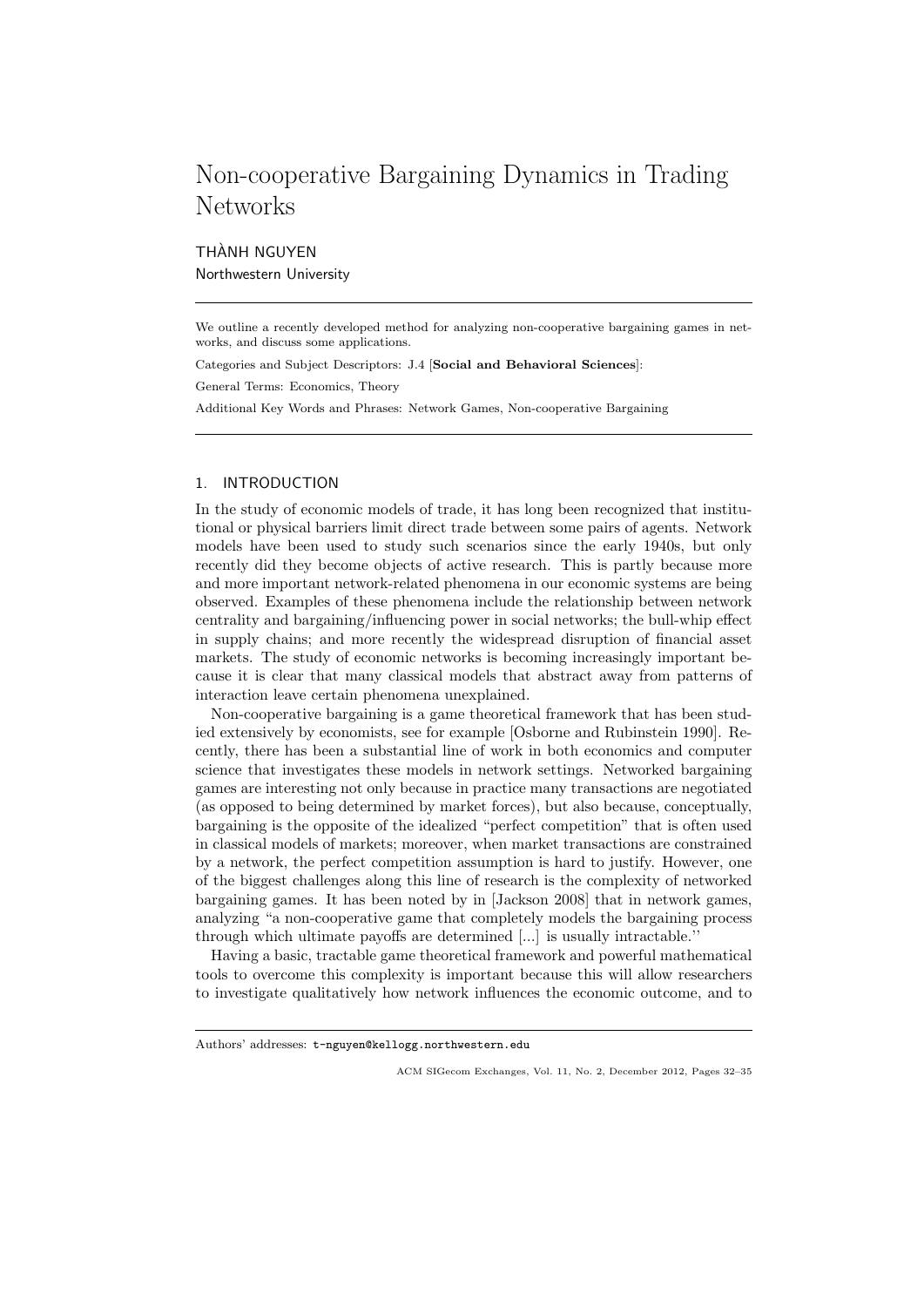# Non-cooperative Bargaining Dynamics in Trading Networks

THÀNH NGUYEN Northwestern University

We outline a recently developed method for analyzing non-cooperative bargaining games in networks, and discuss some applications.

Categories and Subject Descriptors: J.4 [Social and Behavioral Sciences]:

General Terms: Economics, Theory

Additional Key Words and Phrases: Network Games, Non-cooperative Bargaining

## 1. INTRODUCTION

In the study of economic models of trade, it has long been recognized that institutional or physical barriers limit direct trade between some pairs of agents. Network models have been used to study such scenarios since the early 1940s, but only recently did they become objects of active research. This is partly because more and more important network-related phenomena in our economic systems are being observed. Examples of these phenomena include the relationship between network centrality and bargaining/influencing power in social networks; the bull-whip effect in supply chains; and more recently the widespread disruption of financial asset markets. The study of economic networks is becoming increasingly important because it is clear that many classical models that abstract away from patterns of interaction leave certain phenomena unexplained.

Non-cooperative bargaining is a game theoretical framework that has been studied extensively by economists, see for example [Osborne and Rubinstein 1990]. Recently, there has been a substantial line of work in both economics and computer science that investigates these models in network settings. Networked bargaining games are interesting not only because in practice many transactions are negotiated (as opposed to being determined by market forces), but also because, conceptually, bargaining is the opposite of the idealized "perfect competition" that is often used in classical models of markets; moreover, when market transactions are constrained by a network, the perfect competition assumption is hard to justify. However, one of the biggest challenges along this line of research is the complexity of networked bargaining games. It has been noted by in [Jackson 2008] that in network games, analyzing "a non-cooperative game that completely models the bargaining process through which ultimate payoffs are determined [...] is usually intractable.''

Having a basic, tractable game theoretical framework and powerful mathematical tools to overcome this complexity is important because this will allow researchers to investigate qualitatively how network influences the economic outcome, and to

Authors' addresses: t-nguyen@kellogg.northwestern.edu

ACM SIGecom Exchanges, Vol. 11, No. 2, December 2012, Pages 32–35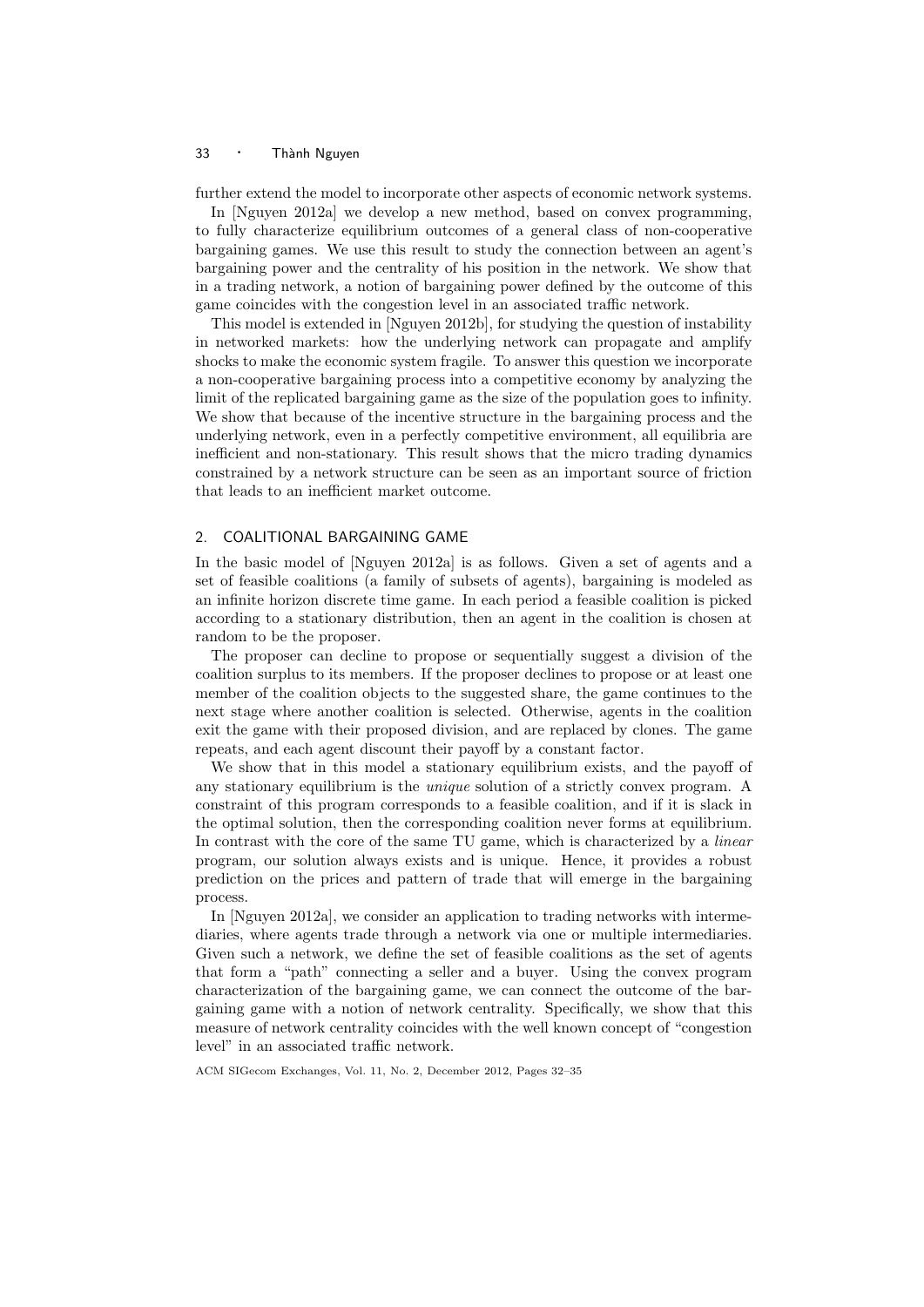#### 33 · Thành Nguyen

further extend the model to incorporate other aspects of economic network systems.

In [Nguyen 2012a] we develop a new method, based on convex programming, to fully characterize equilibrium outcomes of a general class of non-cooperative bargaining games. We use this result to study the connection between an agent's bargaining power and the centrality of his position in the network. We show that in a trading network, a notion of bargaining power defined by the outcome of this game coincides with the congestion level in an associated traffic network.

This model is extended in [Nguyen 2012b], for studying the question of instability in networked markets: how the underlying network can propagate and amplify shocks to make the economic system fragile. To answer this question we incorporate a non-cooperative bargaining process into a competitive economy by analyzing the limit of the replicated bargaining game as the size of the population goes to infinity. We show that because of the incentive structure in the bargaining process and the underlying network, even in a perfectly competitive environment, all equilibria are inefficient and non-stationary. This result shows that the micro trading dynamics constrained by a network structure can be seen as an important source of friction that leads to an inefficient market outcome.

### 2. COALITIONAL BARGAINING GAME

In the basic model of [Nguyen 2012a] is as follows. Given a set of agents and a set of feasible coalitions (a family of subsets of agents), bargaining is modeled as an infinite horizon discrete time game. In each period a feasible coalition is picked according to a stationary distribution, then an agent in the coalition is chosen at random to be the proposer.

The proposer can decline to propose or sequentially suggest a division of the coalition surplus to its members. If the proposer declines to propose or at least one member of the coalition objects to the suggested share, the game continues to the next stage where another coalition is selected. Otherwise, agents in the coalition exit the game with their proposed division, and are replaced by clones. The game repeats, and each agent discount their payoff by a constant factor.

We show that in this model a stationary equilibrium exists, and the payoff of any stationary equilibrium is the unique solution of a strictly convex program. A constraint of this program corresponds to a feasible coalition, and if it is slack in the optimal solution, then the corresponding coalition never forms at equilibrium. In contrast with the core of the same TU game, which is characterized by a linear program, our solution always exists and is unique. Hence, it provides a robust prediction on the prices and pattern of trade that will emerge in the bargaining process.

In [Nguyen 2012a], we consider an application to trading networks with intermediaries, where agents trade through a network via one or multiple intermediaries. Given such a network, we define the set of feasible coalitions as the set of agents that form a "path" connecting a seller and a buyer. Using the convex program characterization of the bargaining game, we can connect the outcome of the bargaining game with a notion of network centrality. Specifically, we show that this measure of network centrality coincides with the well known concept of "congestion level" in an associated traffic network.

ACM SIGecom Exchanges, Vol. 11, No. 2, December 2012, Pages 32–35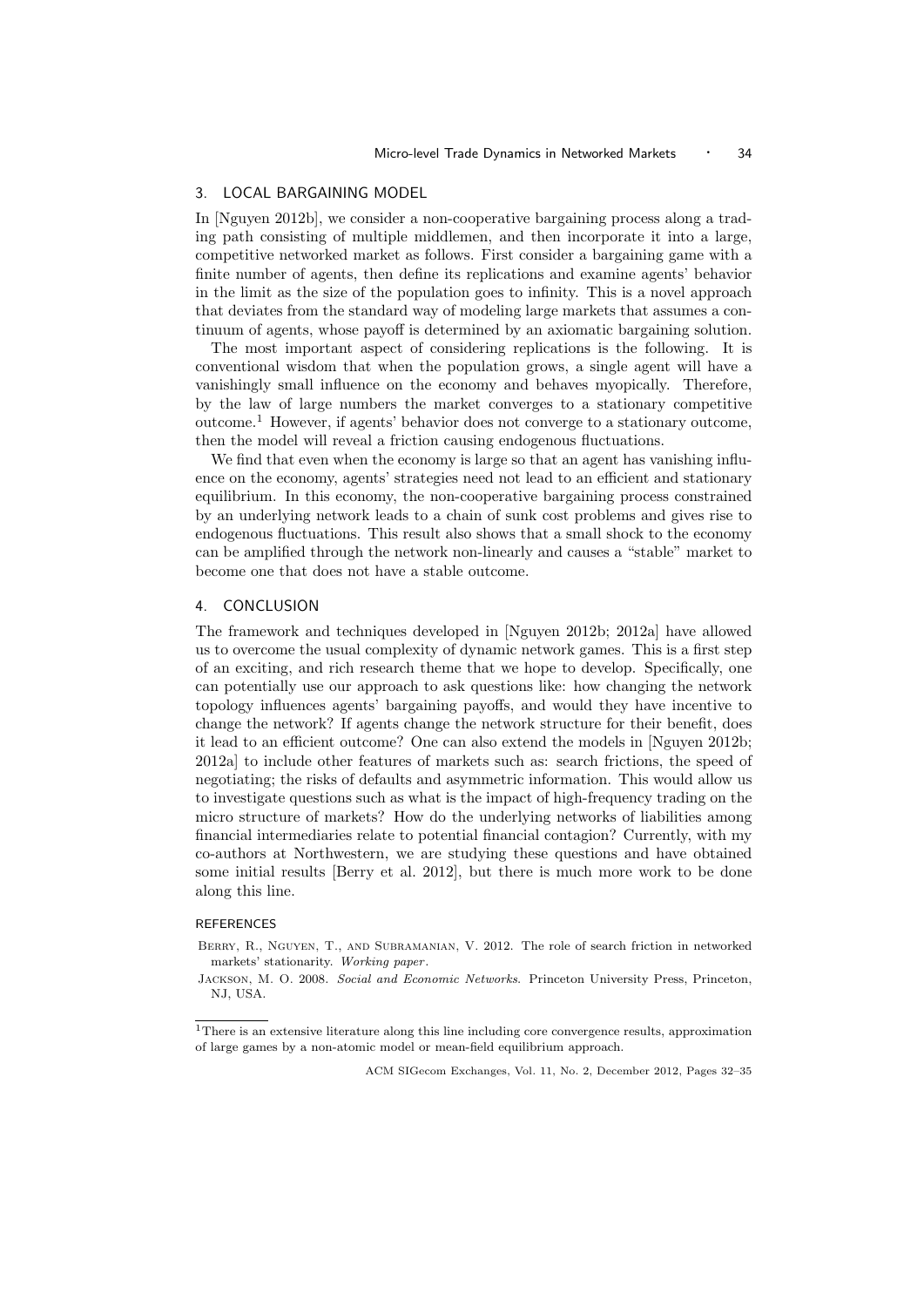#### 3. LOCAL BARGAINING MODEL

In [Nguyen 2012b], we consider a non-cooperative bargaining process along a trading path consisting of multiple middlemen, and then incorporate it into a large, competitive networked market as follows. First consider a bargaining game with a finite number of agents, then define its replications and examine agents' behavior in the limit as the size of the population goes to infinity. This is a novel approach that deviates from the standard way of modeling large markets that assumes a continuum of agents, whose payoff is determined by an axiomatic bargaining solution.

The most important aspect of considering replications is the following. It is conventional wisdom that when the population grows, a single agent will have a vanishingly small influence on the economy and behaves myopically. Therefore, by the law of large numbers the market converges to a stationary competitive outcome.<sup>1</sup> However, if agents' behavior does not converge to a stationary outcome, then the model will reveal a friction causing endogenous fluctuations.

We find that even when the economy is large so that an agent has vanishing influence on the economy, agents' strategies need not lead to an efficient and stationary equilibrium. In this economy, the non-cooperative bargaining process constrained by an underlying network leads to a chain of sunk cost problems and gives rise to endogenous fluctuations. This result also shows that a small shock to the economy can be amplified through the network non-linearly and causes a "stable" market to become one that does not have a stable outcome.

#### 4. CONCLUSION

The framework and techniques developed in [Nguyen 2012b; 2012a] have allowed us to overcome the usual complexity of dynamic network games. This is a first step of an exciting, and rich research theme that we hope to develop. Specifically, one can potentially use our approach to ask questions like: how changing the network topology influences agents' bargaining payoffs, and would they have incentive to change the network? If agents change the network structure for their benefit, does it lead to an efficient outcome? One can also extend the models in [Nguyen 2012b; 2012a] to include other features of markets such as: search frictions, the speed of negotiating; the risks of defaults and asymmetric information. This would allow us to investigate questions such as what is the impact of high-frequency trading on the micro structure of markets? How do the underlying networks of liabilities among financial intermediaries relate to potential financial contagion? Currently, with my co-authors at Northwestern, we are studying these questions and have obtained some initial results [Berry et al. 2012], but there is much more work to be done along this line.

#### REFERENCES

Berry, R., Nguyen, T., and Subramanian, V. 2012. The role of search friction in networked markets' stationarity. Working paper.

Jackson, M. O. 2008. Social and Economic Networks. Princeton University Press, Princeton, NJ, USA.

<sup>&</sup>lt;sup>1</sup>There is an extensive literature along this line including core convergence results, approximation of large games by a non-atomic model or mean-field equilibrium approach.

ACM SIGecom Exchanges, Vol. 11, No. 2, December 2012, Pages 32–35